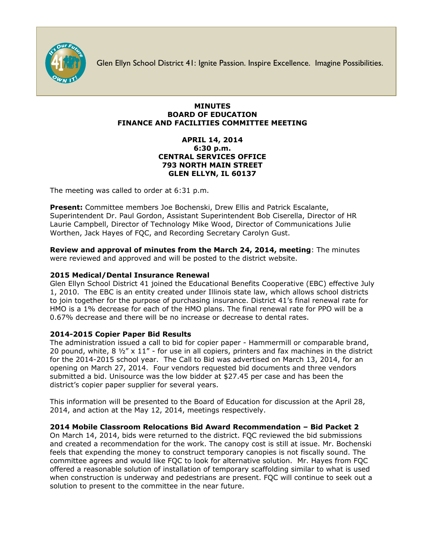

Glen Ellyn School District 41: Ignite Passion. Inspire Excellence. Imagine Possibilities.

### **MINUTES BOARD OF EDUCATION FINANCE AND FACILITIES COMMITTEE MEETING**

### **APRIL 14, 2014 6:30 p.m. CENTRAL SERVICES OFFICE 793 NORTH MAIN STREET GLEN ELLYN, IL 60137**

The meeting was called to order at 6:31 p.m.

**Present:** Committee members Joe Bochenski, Drew Ellis and Patrick Escalante, Superintendent Dr. Paul Gordon, Assistant Superintendent Bob Ciserella, Director of HR Laurie Campbell, Director of Technology Mike Wood, Director of Communications Julie Worthen, Jack Hayes of FQC, and Recording Secretary Carolyn Gust.

**Review and approval of minutes from the March 24, 2014, meeting**: The minutes were reviewed and approved and will be posted to the district website.

# **2015 Medical/Dental Insurance Renewal**

Glen Ellyn School District 41 joined the Educational Benefits Cooperative (EBC) effective July 1, 2010. The EBC is an entity created under Illinois state law, which allows school districts to join together for the purpose of purchasing insurance. District 41's final renewal rate for HMO is a 1% decrease for each of the HMO plans. The final renewal rate for PPO will be a 0.67% decrease and there will be no increase or decrease to dental rates.

## **2014-2015 Copier Paper Bid Results**

The administration issued a call to bid for copier paper - Hammermill or comparable brand, 20 pound, white, 8 ½" x 11" - for use in all copiers, printers and fax machines in the district for the 2014-2015 school year. The Call to Bid was advertised on March 13, 2014, for an opening on March 27, 2014. Four vendors requested bid documents and three vendors submitted a bid. Unisource was the low bidder at \$27.45 per case and has been the district's copier paper supplier for several years.

This information will be presented to the Board of Education for discussion at the April 28, 2014, and action at the May 12, 2014, meetings respectively.

## **2014 Mobile Classroom Relocations Bid Award Recommendation – Bid Packet 2**

On March 14, 2014, bids were returned to the district. FQC reviewed the bid submissions and created a recommendation for the work. The canopy cost is still at issue. Mr. Bochenski feels that expending the money to construct temporary canopies is not fiscally sound. The committee agrees and would like FQC to look for alternative solution. Mr. Hayes from FQC offered a reasonable solution of installation of temporary scaffolding similar to what is used when construction is underway and pedestrians are present. FQC will continue to seek out a solution to present to the committee in the near future.